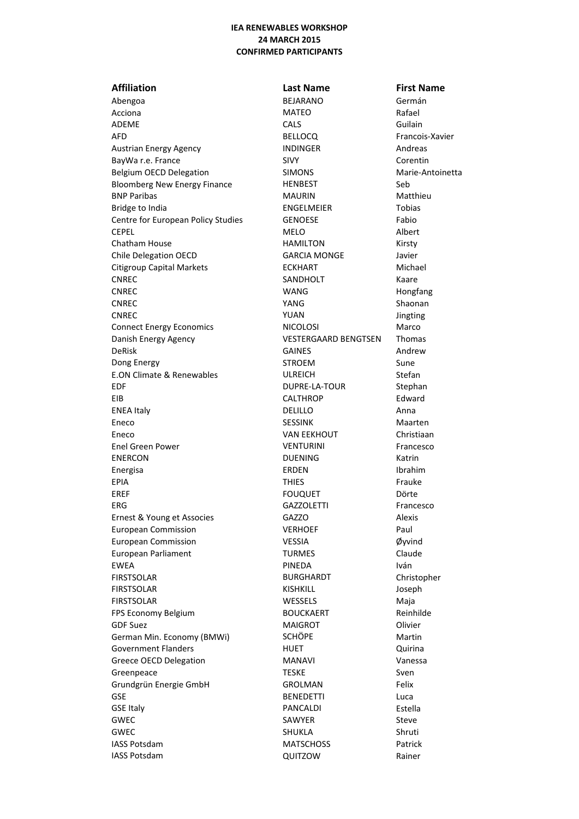# **IEA RENEWABLES WORKSHOP 24 MARCH 2015 CONFIRMED PARTICIPANTS**

# Abengoa BEJARANO Germán Acciona **MATEO** Rafael ADEME CALS CONSIDER Guilain AFD BELLOCQ Francois-Xavier Austrian Energy Agency **INDINGER** Andreas BayWa r.e. France SIVY SIVY Corentin Belgium OECD Delegation SIMONS SIMONS Marie-Antoinetta Bloomberg New Energy Finance HENBEST Seb BNP Paribas MAURIN MAURIN MATTHEURIN MATTHEURIN MATTHEURIN MATTHEURIN METHOD Bridge to India ENGELMEIER Tobias Centre for European Policy Studies GENOESE Fabio CEPEL Albert CEPEL Albert Chatham House **HAMILTON** Kirsty Chile Delegation OECD GARCIA MONGE Javier Citigroup Capital Markets **ECKHART** Michael CNREC **SANDHOLT** Kaare CNREC WANG WANG Hongfang CNREC CONTEXT CONTEXT THE SHADOW SHAONAN SHAONAN SHAONAN SHAONAN SHAONAN SHAONAN SHAONAN SHAONAN SHAONAN SHAONAN SHAONAN SHAONAN SHAONAN SHAONAN SHAONAN SHAONAN SHAONAN SHAONAN SHAONAN SHAONAN SHAONAN SHAONAN SHAONAN SHAON CNREC YUAN Jingting Connect Energy Economics NICOLOSI NICOLOSI Marco Danish Energy Agency VESTERGAARD BENGTSEN Thomas DeRisk GAINES GAINES Andrew Dong Energy STROEM Sune E.ON Climate & Renewables **ULREICH** Stefan EDF DUPRE-LA-TOUR Stephan EIB CALTHROP Edward ENEA Italy **DELILLO CONTACT Anna** Eneco **SESSINK** SESSINK Maarten Eneco VAN EEKHOUT Christiaan Enel Green Power **Contact Contact CONTURINI** Francesco ENERCON DUENING Katrin Energisa ERDEN Ibrahim EPIA Frauke EREF Dörte EREF Dörte ERG GAZZOLETTI Francesco Ernest & Young et Associes GAZZO GAZZO European Commission **VERHOEF** Paul European Commission VESSIA Øyvind European Parliament **TURMES** Claude EWEA Iván FIRSTSOLAR BURGHARDT Christopher FIRSTSOLAR Joseph FIRSTSOLAR Maja FPS Economy Belgium BOUCKAERT Reinhilde GDF Suez and the Contract of MAIGROT Contract Contract Olivier German Min. Economy (BMWi) SCHÖPE SCHÖPE Martin Government Flanders **Matter and HUET Containers Quirina** Greece OECD Delegation The MANAVI Character of MANAVI Vanessa Greenpeace Sven Superintendent Sven TESKE Sven Sven Grundgrün Energie GmbH GROLMAN GROLMAN Felix GSE BENEDETTI GSE Italy **Estella PANCALDI** PANCALDI **Estella** GWEC SAWYER SAWYER STEVE GWEC SHUKLA SHUKLA Shruti IASS Potsdam **MATSCHOSS** Patrick IASS Potsdam QUITZOW Rainer

**Affiliation Last Name First Name**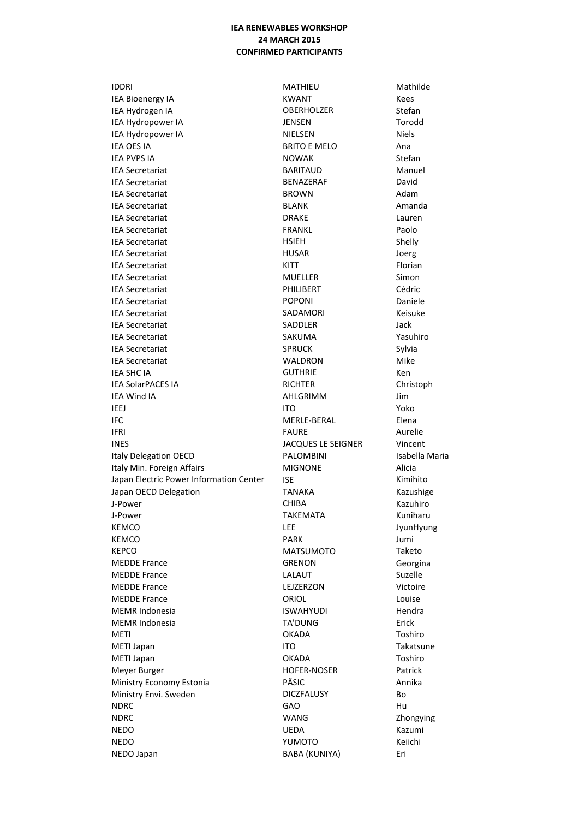## **IEA RENEWABLES WORKSHOP 24 MARCH 2015 CONFIRMED PARTICIPANTS**

**IDDRI IEA Bioenergy IA** IEA Hydrogen IA IEA Hydropower IA **IEA Hydropower IA IEA OES IA IEA PVPS IA IEA Secretariat IEA Secretariat IEA Secretariat IEA Secretariat IEA Secretariat IEA Secretariat IFA Secretariat IEA Secretariat IEA Secretariat IEA Secretariat IEA Secretariat IEA Secretariat IEA Secretariat IEA Secretariat IEA Secretariat IEA Secretariat IEA Secretariat IEA SHC IA IEA SolarPACES IA IEA Wind IA IEEJ IFC IFRI INES Italy Delegation OECD** Italy Min. Foreign Affairs Japan Electric Power Information Center Japan OECD Delegation J-Power J-Power **KEMCO KEMCO KEPCO MEDDE France MEDDE France MEDDE France MEDDE France MEMR Indonesia MEMR Indonesia METI** METI Japan METI Japan Meyer Burger Ministry Economy Estonia Ministry Envi. Sweden **NDRC NDRC NEDO NEDO** NEDO Japan

MATHIEU **KWANT OBERHOLZER JENSEN NIELSEN BRITO E MELO NOWAK BARITAUD** BENAZERAF **BROWN BLANK DRAKE FRANKL HSIEH HUSAR** KITT **MUELLER** PHILIBERT **POPONI** SADAMORI SADDLER SAKUMA **SPRUCK** WALDRON **GUTHRIF RICHTER** AHLGRIMM **ITO** MERLE-BERAL **FAURE JACQUES LE SEIGNER PALOMBINI MIGNONE ISF TANAKA** CHIBA **TAKEMATA** LEE **PARK MATSUMOTO GRENON** LALAUT LEJZERZON ORIOL **ISWAHYUDI TA'DUNG OKADA ITO OKADA HOFER-NOSER** PÄSIC **DICZFALUSY** GAO **WANG UEDA** YUMOTO **BABA (KUNIYA)** 

Mathilde Kees Stefan Torodd **Niels** Ana Stefan Manuel David Adam Amanda Lauren Paolo Shelly Joerg Florian Simon Cédric Daniele Keisuke Jack Yasuhiro Svlvia Mike Ken Christoph Jim Yoko Elena Aurelie Vincent Isabella Maria Alicia Kimihito Kazushige Kazuhiro Kuniharu JyunHyung Jumi Taketo Georgina Suzelle Victoire Louise Hendra Erick Toshiro Takatsune Toshiro Patrick Annika Bo Hu Zhongying Kazumi Keiichi Eri